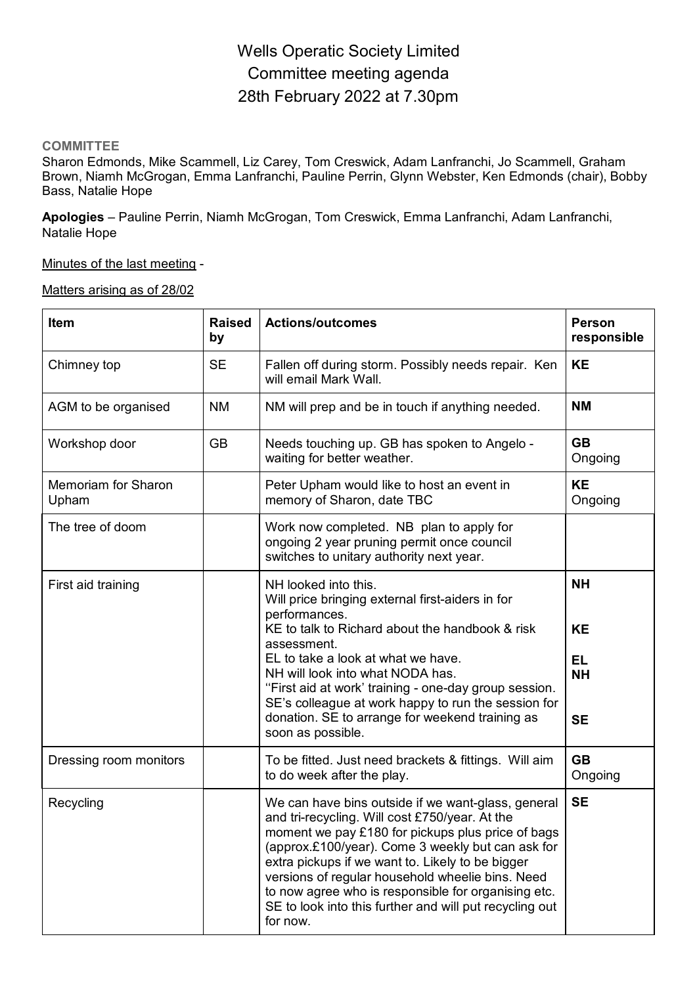# Wells Operatic Society Limited Committee meeting agenda 28th February 2022 at 7.30pm

### **COMMITTEE**

Sharon Edmonds, Mike Scammell, Liz Carey, Tom Creswick, Adam Lanfranchi, Jo Scammell, Graham Brown, Niamh McGrogan, Emma Lanfranchi, Pauline Perrin, Glynn Webster, Ken Edmonds (chair), Bobby Bass, Natalie Hope

**Apologies** – Pauline Perrin, Niamh McGrogan, Tom Creswick, Emma Lanfranchi, Adam Lanfranchi, Natalie Hope

### Minutes of the last meeting -

#### Matters arising as of 28/02

| Item                         | <b>Raised</b><br>by | <b>Actions/outcomes</b>                                                                                                                                                                                                                                                                                                                                                                                                                              | <b>Person</b><br>responsible                            |
|------------------------------|---------------------|------------------------------------------------------------------------------------------------------------------------------------------------------------------------------------------------------------------------------------------------------------------------------------------------------------------------------------------------------------------------------------------------------------------------------------------------------|---------------------------------------------------------|
| Chimney top                  | <b>SE</b>           | Fallen off during storm. Possibly needs repair. Ken<br>will email Mark Wall.                                                                                                                                                                                                                                                                                                                                                                         | <b>KE</b>                                               |
| AGM to be organised          | <b>NM</b>           | NM will prep and be in touch if anything needed.                                                                                                                                                                                                                                                                                                                                                                                                     | <b>NM</b>                                               |
| Workshop door                | <b>GB</b>           | Needs touching up. GB has spoken to Angelo -<br>waiting for better weather.                                                                                                                                                                                                                                                                                                                                                                          | <b>GB</b><br>Ongoing                                    |
| Memoriam for Sharon<br>Upham |                     | Peter Upham would like to host an event in<br>memory of Sharon, date TBC                                                                                                                                                                                                                                                                                                                                                                             | <b>KE</b><br>Ongoing                                    |
| The tree of doom             |                     | Work now completed. NB plan to apply for<br>ongoing 2 year pruning permit once council<br>switches to unitary authority next year.                                                                                                                                                                                                                                                                                                                   |                                                         |
| First aid training           |                     | NH looked into this.<br>Will price bringing external first-aiders in for<br>performances.<br>KE to talk to Richard about the handbook & risk<br>assessment.<br>EL to take a look at what we have.<br>NH will look into what NODA has.<br>"First aid at work' training - one-day group session.<br>SE's colleague at work happy to run the session for<br>donation. SE to arrange for weekend training as<br>soon as possible.                        | <b>NH</b><br><b>KE</b><br>EL.<br><b>NH</b><br><b>SE</b> |
| Dressing room monitors       |                     | To be fitted. Just need brackets & fittings. Will aim<br>to do week after the play.                                                                                                                                                                                                                                                                                                                                                                  | <b>GB</b><br>Ongoing                                    |
| Recycling                    |                     | We can have bins outside if we want-glass, general<br>and tri-recycling. Will cost £750/year. At the<br>moment we pay £180 for pickups plus price of bags<br>(approx.£100/year). Come 3 weekly but can ask for<br>extra pickups if we want to. Likely to be bigger<br>versions of regular household wheelie bins. Need<br>to now agree who is responsible for organising etc.<br>SE to look into this further and will put recycling out<br>for now. | <b>SE</b>                                               |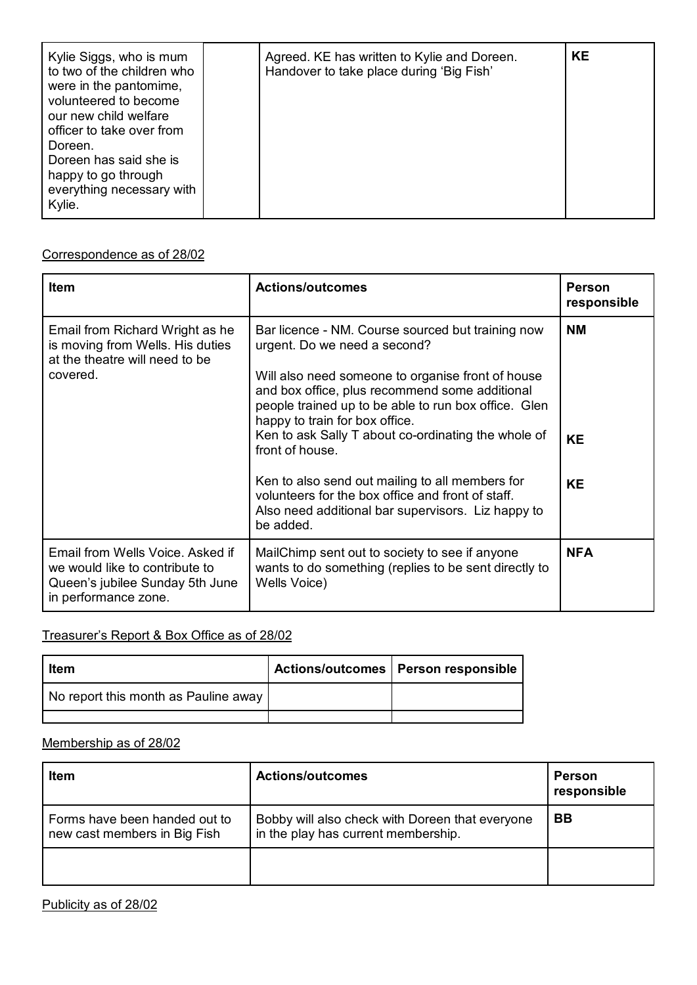| Kylie Siggs, who is mum<br>to two of the children who<br>were in the pantomime,<br>volunteered to become<br>our new child welfare<br>officer to take over from<br>Doreen.<br>Doreen has said she is<br>happy to go through<br>everything necessary with<br>Kylie. | Agreed. KE has written to Kylie and Doreen.<br>Handover to take place during 'Big Fish' | <b>KE</b> |
|-------------------------------------------------------------------------------------------------------------------------------------------------------------------------------------------------------------------------------------------------------------------|-----------------------------------------------------------------------------------------|-----------|
|-------------------------------------------------------------------------------------------------------------------------------------------------------------------------------------------------------------------------------------------------------------------|-----------------------------------------------------------------------------------------|-----------|

### Correspondence as of 28/02

| <b>Item</b>                                                                                                                   | <b>Actions/outcomes</b>                                                                                                                                                                                                                                                                                                                                                                                                                                                                                                                 | <b>Person</b><br>responsible        |
|-------------------------------------------------------------------------------------------------------------------------------|-----------------------------------------------------------------------------------------------------------------------------------------------------------------------------------------------------------------------------------------------------------------------------------------------------------------------------------------------------------------------------------------------------------------------------------------------------------------------------------------------------------------------------------------|-------------------------------------|
| Email from Richard Wright as he<br>is moving from Wells. His duties<br>at the theatre will need to be<br>covered.             | Bar licence - NM. Course sourced but training now<br>urgent. Do we need a second?<br>Will also need someone to organise front of house<br>and box office, plus recommend some additional<br>people trained up to be able to run box office. Glen<br>happy to train for box office.<br>Ken to ask Sally T about co-ordinating the whole of<br>front of house.<br>Ken to also send out mailing to all members for<br>volunteers for the box office and front of staff.<br>Also need additional bar supervisors. Liz happy to<br>be added. | <b>NM</b><br><b>KE</b><br><b>KE</b> |
| Email from Wells Voice, Asked if<br>we would like to contribute to<br>Queen's jubilee Sunday 5th June<br>in performance zone. | MailChimp sent out to society to see if anyone<br>wants to do something (replies to be sent directly to<br>Wells Voice)                                                                                                                                                                                                                                                                                                                                                                                                                 | <b>NFA</b>                          |

# Treasurer's Report & Box Office as of 28/02

| <b>Item</b>                          | Actions/outcomes   Person responsible |
|--------------------------------------|---------------------------------------|
| No report this month as Pauline away |                                       |
|                                      |                                       |

### Membership as of 28/02

| <b>Item</b>                                                   | <b>Actions/outcomes</b>                                                                | <b>Person</b><br>responsible |
|---------------------------------------------------------------|----------------------------------------------------------------------------------------|------------------------------|
| Forms have been handed out to<br>new cast members in Big Fish | Bobby will also check with Doreen that everyone<br>in the play has current membership. | BB                           |
|                                                               |                                                                                        |                              |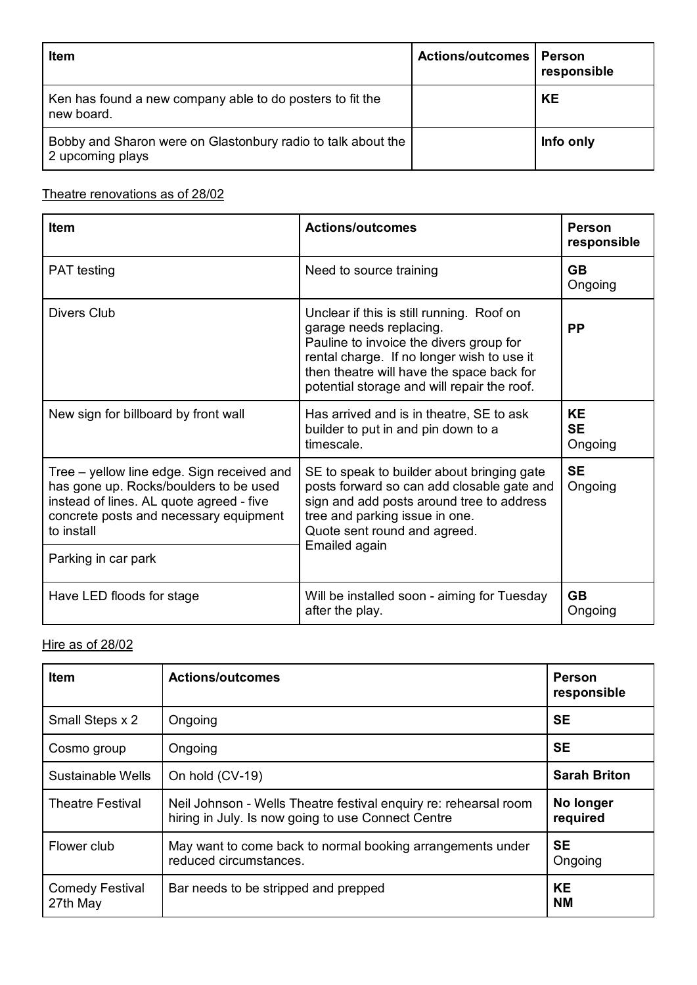| <b>Item</b>                                                                      | <b>Actions/outcomes</b> | Person<br>responsible |
|----------------------------------------------------------------------------------|-------------------------|-----------------------|
| Ken has found a new company able to do posters to fit the<br>new board.          |                         | <b>KE</b>             |
| Bobby and Sharon were on Glastonbury radio to talk about the<br>2 upcoming plays |                         | Info only             |

# Theatre renovations as of 28/02

| <b>Item</b>                                                                                                                                                                                                     | <b>Actions/outcomes</b>                                                                                                                                                                                                                                   | <b>Person</b><br>responsible      |
|-----------------------------------------------------------------------------------------------------------------------------------------------------------------------------------------------------------------|-----------------------------------------------------------------------------------------------------------------------------------------------------------------------------------------------------------------------------------------------------------|-----------------------------------|
| <b>PAT</b> testing                                                                                                                                                                                              | Need to source training                                                                                                                                                                                                                                   | <b>GB</b><br>Ongoing              |
| Divers Club                                                                                                                                                                                                     | Unclear if this is still running. Roof on<br>garage needs replacing.<br>Pauline to invoice the divers group for<br>rental charge. If no longer wish to use it<br>then theatre will have the space back for<br>potential storage and will repair the roof. | <b>PP</b>                         |
| New sign for billboard by front wall                                                                                                                                                                            | Has arrived and is in theatre, SE to ask<br>builder to put in and pin down to a<br>timescale.                                                                                                                                                             | <b>KE</b><br><b>SE</b><br>Ongoing |
| Tree – yellow line edge. Sign received and<br>has gone up. Rocks/boulders to be used<br>instead of lines. AL quote agreed - five<br>concrete posts and necessary equipment<br>to install<br>Parking in car park | SE to speak to builder about bringing gate<br>posts forward so can add closable gate and<br>sign and add posts around tree to address<br>tree and parking issue in one.<br>Quote sent round and agreed.<br>Emailed again                                  | <b>SE</b><br>Ongoing              |
| Have LED floods for stage                                                                                                                                                                                       | Will be installed soon - aiming for Tuesday<br>after the play.                                                                                                                                                                                            | <b>GB</b><br>Ongoing              |

### Hire as of 28/02

| <b>Item</b>                        | <b>Actions/outcomes</b>                                                                                                | <b>Person</b><br>responsible |
|------------------------------------|------------------------------------------------------------------------------------------------------------------------|------------------------------|
| Small Steps x 2                    | Ongoing                                                                                                                | <b>SE</b>                    |
| Cosmo group                        | Ongoing                                                                                                                | <b>SE</b>                    |
| Sustainable Wells                  | On hold (CV-19)                                                                                                        | <b>Sarah Briton</b>          |
| <b>Theatre Festival</b>            | Neil Johnson - Wells Theatre festival enquiry re: rehearsal room<br>hiring in July. Is now going to use Connect Centre | No longer<br>required        |
| Flower club                        | May want to come back to normal booking arrangements under<br>reduced circumstances.                                   | <b>SE</b><br>Ongoing         |
| <b>Comedy Festival</b><br>27th May | Bar needs to be stripped and prepped                                                                                   | <b>KE</b><br><b>NM</b>       |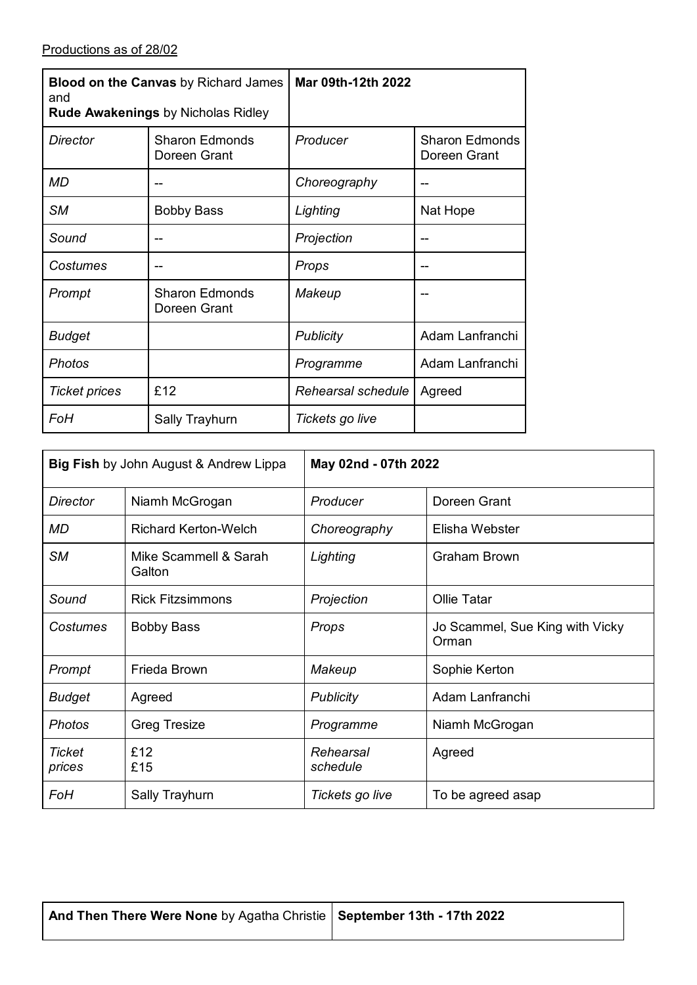| <b>Blood on the Canvas by Richard James</b><br>and<br>Rude Awakenings by Nicholas Ridley |                                       | Mar 09th-12th 2022 |                                       |
|------------------------------------------------------------------------------------------|---------------------------------------|--------------------|---------------------------------------|
| <b>Director</b>                                                                          | <b>Sharon Edmonds</b><br>Doreen Grant | Producer           | <b>Sharon Edmonds</b><br>Doreen Grant |
| <b>MD</b>                                                                                |                                       | Choreography       |                                       |
| <b>SM</b>                                                                                | <b>Bobby Bass</b>                     | Lighting           | Nat Hope                              |
| Sound                                                                                    |                                       | Projection         | --                                    |
| Costumes                                                                                 |                                       | Props              |                                       |
| Prompt                                                                                   | <b>Sharon Edmonds</b><br>Doreen Grant | Makeup             |                                       |
| <b>Budget</b>                                                                            |                                       | Publicity          | Adam Lanfranchi                       |
| <b>Photos</b>                                                                            |                                       | Programme          | Adam Lanfranchi                       |
| <b>Ticket prices</b>                                                                     | £12                                   | Rehearsal schedule | Agreed                                |
| FoH                                                                                      | Sally Trayhurn                        | Tickets go live    |                                       |

| <b>Big Fish</b> by John August & Andrew Lippa |                                 | May 02nd - 07th 2022  |                                          |  |
|-----------------------------------------------|---------------------------------|-----------------------|------------------------------------------|--|
| <b>Director</b>                               | Niamh McGrogan                  | Producer              | Doreen Grant                             |  |
| MD                                            | <b>Richard Kerton-Welch</b>     | Choreography          | Elisha Webster                           |  |
| <b>SM</b>                                     | Mike Scammell & Sarah<br>Galton | Lighting              | <b>Graham Brown</b>                      |  |
| Sound                                         | <b>Rick Fitzsimmons</b>         | Projection            | Ollie Tatar                              |  |
| Costumes                                      | <b>Bobby Bass</b>               | Props                 | Jo Scammel, Sue King with Vicky<br>Orman |  |
| Prompt                                        | Frieda Brown                    | Makeup                | Sophie Kerton                            |  |
| <b>Budget</b>                                 | Agreed                          | <b>Publicity</b>      | Adam Lanfranchi                          |  |
| Photos                                        | <b>Greg Tresize</b>             | Programme             | Niamh McGrogan                           |  |
| <b>Ticket</b><br>prices                       | £12<br>£15                      | Rehearsal<br>schedule | Agreed                                   |  |
| FoH                                           | Sally Trayhurn                  | Tickets go live       | To be agreed asap                        |  |

| And Then There Were None by Agatha Christie   September 13th - 17th 2022 |  |
|--------------------------------------------------------------------------|--|
|--------------------------------------------------------------------------|--|

┱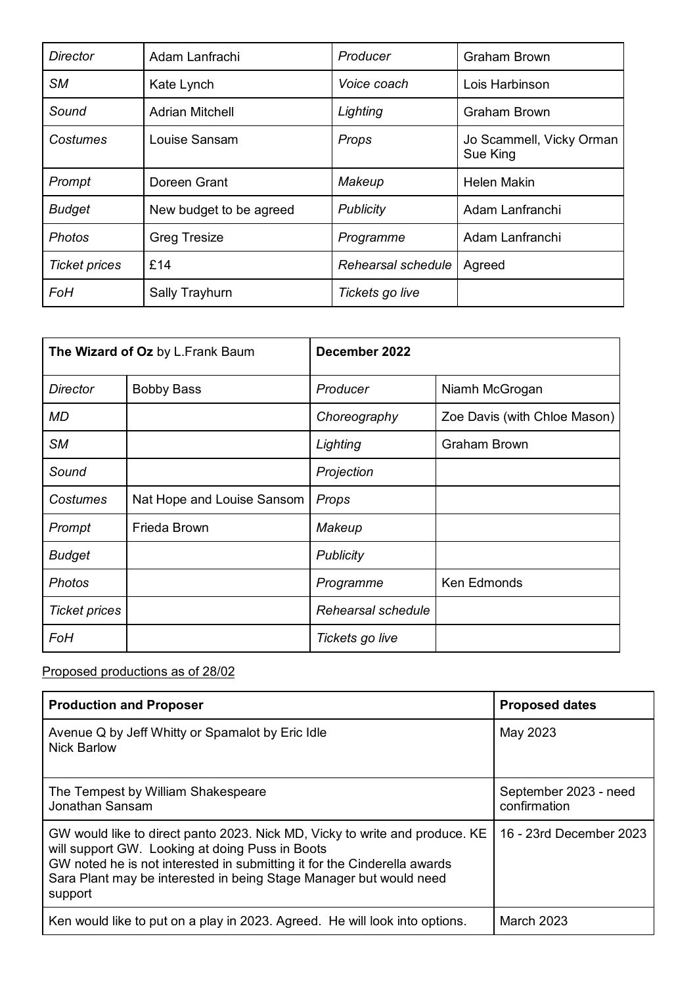| <b>Director</b>      | Adam Lanfrachi          | Producer           | Graham Brown                         |
|----------------------|-------------------------|--------------------|--------------------------------------|
| <b>SM</b>            | Kate Lynch              | Voice coach        | Lois Harbinson                       |
| Sound                | <b>Adrian Mitchell</b>  | Lighting           | <b>Graham Brown</b>                  |
| Costumes             | Louise Sansam           | Props              | Jo Scammell, Vicky Orman<br>Sue King |
| Prompt               | Doreen Grant            | Makeup             | <b>Helen Makin</b>                   |
| <b>Budget</b>        | New budget to be agreed | Publicity          | Adam Lanfranchi                      |
| <b>Photos</b>        | <b>Greg Tresize</b>     | Programme          | Adam Lanfranchi                      |
| <b>Ticket prices</b> | £14                     | Rehearsal schedule | Agreed                               |
| FoH                  | Sally Trayhurn          | Tickets go live    |                                      |

| The Wizard of Oz by L.Frank Baum |                            | December 2022      |                              |
|----------------------------------|----------------------------|--------------------|------------------------------|
| <b>Director</b>                  | <b>Bobby Bass</b>          | Producer           | Niamh McGrogan               |
| MD                               |                            | Choreography       | Zoe Davis (with Chloe Mason) |
| <b>SM</b>                        |                            | Lighting           | <b>Graham Brown</b>          |
| Sound                            |                            | Projection         |                              |
| Costumes                         | Nat Hope and Louise Sansom | Props              |                              |
| Prompt                           | Frieda Brown               | Makeup             |                              |
| <b>Budget</b>                    |                            | <b>Publicity</b>   |                              |
| <b>Photos</b>                    |                            | Programme          | Ken Edmonds                  |
| <b>Ticket prices</b>             |                            | Rehearsal schedule |                              |
| FoH                              |                            | Tickets go live    |                              |

## Proposed productions as of 28/02

| <b>Production and Proposer</b>                                                                                                                                                                                                                                                              | <b>Proposed dates</b>                 |  |
|---------------------------------------------------------------------------------------------------------------------------------------------------------------------------------------------------------------------------------------------------------------------------------------------|---------------------------------------|--|
| Avenue Q by Jeff Whitty or Spamalot by Eric Idle<br><b>Nick Barlow</b>                                                                                                                                                                                                                      | May 2023                              |  |
| The Tempest by William Shakespeare<br>Jonathan Sansam                                                                                                                                                                                                                                       | September 2023 - need<br>confirmation |  |
| GW would like to direct panto 2023. Nick MD, Vicky to write and produce. KE<br>will support GW. Looking at doing Puss in Boots<br>GW noted he is not interested in submitting it for the Cinderella awards<br>Sara Plant may be interested in being Stage Manager but would need<br>support | 16 - 23rd December 2023               |  |
| Ken would like to put on a play in 2023. Agreed. He will look into options.                                                                                                                                                                                                                 | <b>March 2023</b>                     |  |